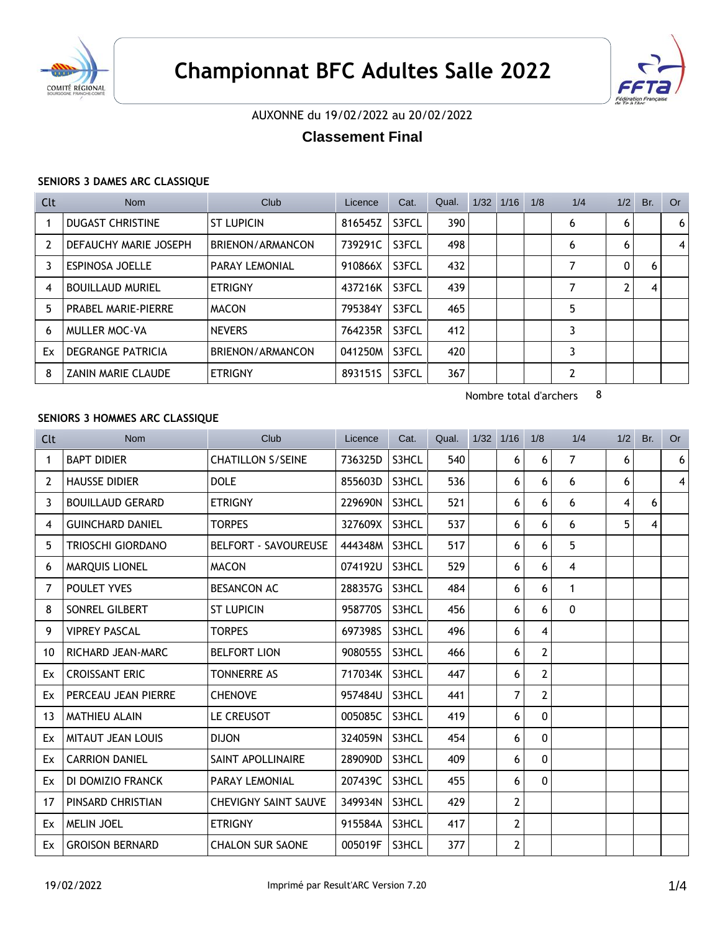



# AUXONNE du 19/02/2022 au 20/02/2022

# **Classement Final**

### **SENIORS 3 DAMES ARC CLASSIQUE**

| Clt            | <b>Nom</b>                 | Club                  | Licence | Cat.  | Qual. | 1/32 | 1/16 | 1/8 | 1/4 | 1/2 | Br. | <b>Or</b> |
|----------------|----------------------------|-----------------------|---------|-------|-------|------|------|-----|-----|-----|-----|-----------|
|                | <b>DUGAST CHRISTINE</b>    | <b>ST LUPICIN</b>     | 816545Z | S3FCL | 390   |      |      |     | 6   | 6   |     | 6         |
| $\overline{2}$ | DEFAUCHY MARIE JOSEPH      | BRIENON/ARMANCON      | 739291C | S3FCL | 498   |      |      |     | 6   | 6   |     | 4         |
| 3              | <b>ESPINOSA JOELLE</b>     | <b>PARAY LEMONIAL</b> | 910866X | S3FCL | 432   |      |      |     | 7   | 0   | 6   |           |
| 4              | <b>BOUILLAUD MURIEL</b>    | <b>ETRIGNY</b>        | 437216K | S3FCL | 439   |      |      |     | 7   |     | 4   |           |
| 5              | <b>PRABEL MARIE-PIERRE</b> | <b>MACON</b>          | 795384Y | S3FCL | 465   |      |      |     | 5   |     |     |           |
| 6              | MULLER MOC-VA              | <b>NEVERS</b>         | 764235R | S3FCL | 412   |      |      |     | 3   |     |     |           |
| Ex             | <b>DEGRANGE PATRICIA</b>   | BRIENON/ARMANCON      | 041250M | S3FCL | 420   |      |      |     | 3   |     |     |           |
| 8              | <b>ZANIN MARIE CLAUDE</b>  | <b>ETRIGNY</b>        | 893151S | S3FCL | 367   |      |      |     | 2   |     |     |           |

Nombre total d'archers 8

## **SENIORS 3 HOMMES ARC CLASSIQUE**

| Clt | <b>Nom</b>               | Club                        | Licence | Cat.  | Qual. | $1/32$ $1/16$  | 1/8            | 1/4          | 1/2 | Br. | <b>Or</b>      |
|-----|--------------------------|-----------------------------|---------|-------|-------|----------------|----------------|--------------|-----|-----|----------------|
| 1   | <b>BAPT DIDIER</b>       | <b>CHATILLON S/SEINE</b>    | 736325D | S3HCL | 540   | 6              | 6              | 7            | 6   |     | 6 <sup>1</sup> |
| 2   | <b>HAUSSE DIDIER</b>     | <b>DOLE</b>                 | 855603D | S3HCL | 536   | 6              | 6              | 6            | 6   |     | $\vert$        |
| 3   | <b>BOUILLAUD GERARD</b>  | <b>ETRIGNY</b>              | 229690N | S3HCL | 521   | 6              | 6              | 6            | 4   | 6   |                |
| 4   | <b>GUINCHARD DANIEL</b>  | <b>TORPES</b>               | 327609X | S3HCL | 537   | 6              | 6              | 6            | 5   | 4   |                |
| 5   | TRIOSCHI GIORDANO        | <b>BELFORT - SAVOUREUSE</b> | 444348M | S3HCL | 517   | 6              | 6              | 5            |     |     |                |
| 6   | <b>MARQUIS LIONEL</b>    | <b>MACON</b>                | 074192U | S3HCL | 529   | 6              | 6              | 4            |     |     |                |
| 7   | POULET YVES              | <b>BESANCON AC</b>          | 288357G | S3HCL | 484   | 6              | 6              | $\mathbf{1}$ |     |     |                |
| 8   | SONREL GILBERT           | <b>ST LUPICIN</b>           | 958770S | S3HCL | 456   | 6              | 6              | 0            |     |     |                |
| 9   | <b>VIPREY PASCAL</b>     | <b>TORPES</b>               | 697398S | S3HCL | 496   | 6              | 4              |              |     |     |                |
| 10  | RICHARD JEAN-MARC        | <b>BELFORT LION</b>         | 908055S | S3HCL | 466   | 6              | $\overline{2}$ |              |     |     |                |
| Ex  | <b>CROISSANT ERIC</b>    | <b>TONNERRE AS</b>          | 717034K | S3HCL | 447   | 6              | $\overline{2}$ |              |     |     |                |
| Ex  | PERCEAU JEAN PIERRE      | <b>CHENOVE</b>              | 957484U | S3HCL | 441   | 7              | $\overline{2}$ |              |     |     |                |
| 13  | <b>MATHIEU ALAIN</b>     | <b>LE CREUSOT</b>           | 005085C | S3HCL | 419   | 6              | $\mathbf{0}$   |              |     |     |                |
| Ex  | <b>MITAUT JEAN LOUIS</b> | <b>DIJON</b>                | 324059N | S3HCL | 454   | 6              | $\mathbf{0}$   |              |     |     |                |
| Ex  | <b>CARRION DANIEL</b>    | SAINT APOLLINAIRE           | 289090D | S3HCL | 409   | 6              | $\mathbf{0}$   |              |     |     |                |
| Ex  | DI DOMIZIO FRANCK        | <b>PARAY LEMONIAL</b>       | 207439C | S3HCL | 455   | 6              | $\mathbf{0}$   |              |     |     |                |
| 17  | PINSARD CHRISTIAN        | <b>CHEVIGNY SAINT SAUVE</b> | 349934N | S3HCL | 429   | $\overline{2}$ |                |              |     |     |                |
| Ex  | <b>MELIN JOEL</b>        | <b>ETRIGNY</b>              | 915584A | S3HCL | 417   | 2              |                |              |     |     |                |
| Ex  | <b>GROISON BERNARD</b>   | <b>CHALON SUR SAONE</b>     | 005019F | S3HCL | 377   | $\overline{2}$ |                |              |     |     |                |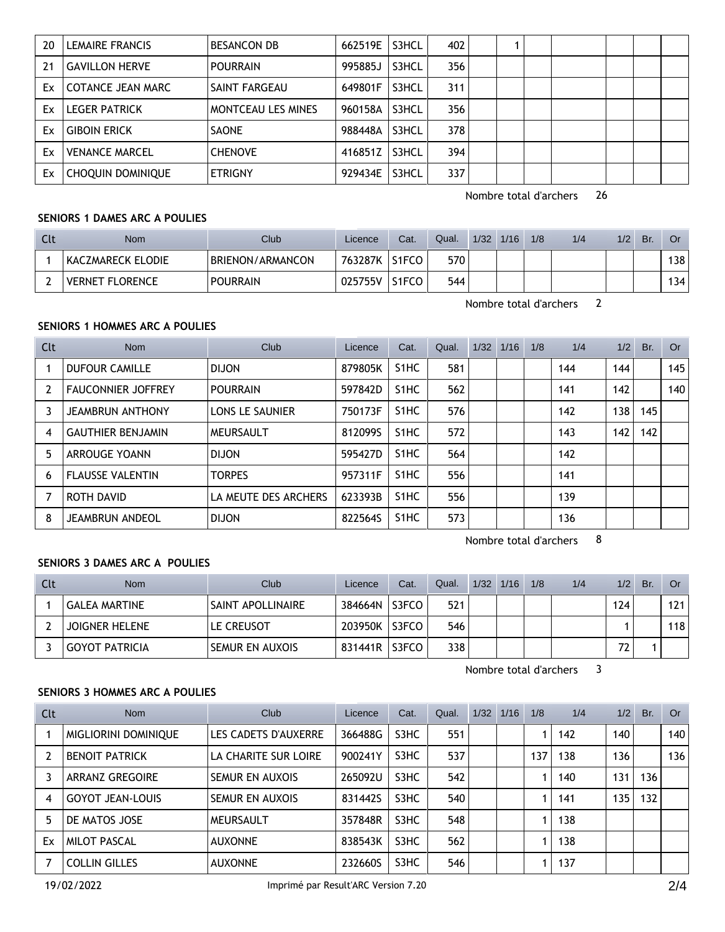| 20 | LEMAIRE FRANCIS          | <b>BESANCON DB</b>        | 662519E | S3HCL | 402 |  |  |  |  |
|----|--------------------------|---------------------------|---------|-------|-----|--|--|--|--|
| 21 | <b>GAVILLON HERVE</b>    | <b>POURRAIN</b>           | 995885J | S3HCL | 356 |  |  |  |  |
| Ex | COTANCE JEAN MARC        | SAINT FARGEAU             | 649801F | S3HCL | 311 |  |  |  |  |
| Ex | <b>LEGER PATRICK</b>     | <b>MONTCEAU LES MINES</b> | 960158A | S3HCL | 356 |  |  |  |  |
| Ex | <b>GIBOIN ERICK</b>      | <b>SAONE</b>              | 988448A | S3HCL | 378 |  |  |  |  |
| Ex | <b>VENANCE MARCEL</b>    | <b>CHENOVE</b>            | 416851Z | S3HCL | 394 |  |  |  |  |
| Ex | <b>CHOQUIN DOMINIQUE</b> | <b>ETRIGNY</b>            | 929434E | S3HCL | 337 |  |  |  |  |

Nombre total d'archers 26

#### **SENIORS 1 DAMES ARC A POULIES**

| Clt | Nom                    | <b>Club</b>      | Licence | Cat.               | Qual. | 1/32 | 1/16 | 1/8 | 1/4 | 1/2 | Br. | Or. |
|-----|------------------------|------------------|---------|--------------------|-------|------|------|-----|-----|-----|-----|-----|
|     | KACZMARECK ELODIE      | BRIENON/ARMANCON | 763287K | S <sub>1</sub> FCO | 570   |      |      |     |     |     |     | 138 |
|     | <b>VERNET FLORENCE</b> | <b>POURRAIN</b>  | 025755V | S <sub>1</sub> FCO | 544   |      |      |     |     |     |     | 134 |

Nombre total d'archers 2

## **SENIORS 1 HOMMES ARC A POULIES**

| Clt            | Nom                       | Club                   | Licence | Cat.              | Qual. | 1/32 | 1/16 | 1/8 | 1/4 | 1/2 | Br. | <b>Or</b> |
|----------------|---------------------------|------------------------|---------|-------------------|-------|------|------|-----|-----|-----|-----|-----------|
|                | <b>DUFOUR CAMILLE</b>     | <b>DIJON</b>           | 879805K | S <sub>1</sub> HC | 581   |      |      |     | 144 | 144 |     | 145       |
| $\overline{2}$ | <b>FAUCONNIER JOFFREY</b> | <b>POURRAIN</b>        | 597842D | S <sub>1</sub> HC | 562   |      |      |     | 141 | 142 |     | 140       |
|                | <b>JEAMBRUN ANTHONY</b>   | <b>LONS LE SAUNIER</b> | 750173F | S <sub>1</sub> HC | 576   |      |      |     | 142 | 138 | 145 |           |
| 4              | <b>GAUTHIER BENJAMIN</b>  | MEURSAULT              | 8120995 | S <sub>1</sub> HC | 572   |      |      |     | 143 | 142 | 142 |           |
| 5              | ARROUGE YOANN             | <b>DIJON</b>           | 595427D | S <sub>1</sub> HC | 564   |      |      |     | 142 |     |     |           |
| 6              | <b>FLAUSSE VALENTIN</b>   | <b>TORPES</b>          | 957311F | S <sub>1</sub> HC | 556   |      |      |     | 141 |     |     |           |
|                | ROTH DAVID                | LA MEUTE DES ARCHERS   | 623393B | S <sub>1</sub> HC | 556   |      |      |     | 139 |     |     |           |
| 8              | <b>JEAMBRUN ANDEOL</b>    | <b>DIJON</b>           | 822564S | S <sub>1</sub> HC | 573   |      |      |     | 136 |     |     |           |

Nombre total d'archers 8

## **SENIORS 3 DAMES ARC A POULIES**

| Clt | <b>Nom</b>            | Club                     | Licence | Cat.  | Qual. | $1/32$ $1/16$ | 1/8 | 1/4 | 1/2 | Br. | <b>Or</b> |
|-----|-----------------------|--------------------------|---------|-------|-------|---------------|-----|-----|-----|-----|-----------|
|     | <b>GALEA MARTINE</b>  | <b>SAINT APOLLINAIRE</b> | 384664N | S3FCO | 521   |               |     |     | 124 |     | 121       |
|     | <b>JOIGNER HELENE</b> | LE CREUSOT               | 203950K | S3FCO | 546   |               |     |     |     |     | 118       |
|     | <b>GOYOT PATRICIA</b> | SEMUR EN AUXOIS          | 831441R | S3FCO | 338   |               |     |     | 72  |     |           |

Nombre total d'archers 3

## **SENIORS 3 HOMMES ARC A POULIES**

| Clt | <b>Nom</b>              | Club                 | Licence | Cat. | Qual. | $1/32$ $1/16$ | 1/8 | 1/4 | 1/2 | Br.              | Or  |
|-----|-------------------------|----------------------|---------|------|-------|---------------|-----|-----|-----|------------------|-----|
|     | MIGLIORINI DOMINIQUE    | LES CADETS D'AUXERRE | 366488G | S3HC | 551   |               |     | 142 | 140 |                  | 140 |
|     | <b>BENOIT PATRICK</b>   | LA CHARITE SUR LOIRE | 900241Y | S3HC | 537   |               | 137 | 138 | 136 |                  | 136 |
|     | <b>ARRANZ GREGOIRE</b>  | SEMUR EN AUXOIS      | 265092U | S3HC | 542   |               |     | 140 | 131 | 136 <sub>1</sub> |     |
| 4   | <b>GOYOT JEAN-LOUIS</b> | SEMUR EN AUXOIS      | 831442S | S3HC | 540   |               |     | 141 | 135 | 132              |     |
| 5   | DE MATOS JOSE           | MEURSAULT            | 357848R | S3HC | 548   |               |     | 138 |     |                  |     |
| Ex  | <b>MILOT PASCAL</b>     | <b>AUXONNE</b>       | 838543K | S3HC | 562   |               |     | 138 |     |                  |     |
|     | <b>COLLIN GILLES</b>    | <b>AUXONNE</b>       | 232660S | S3HC | 546   |               |     | 137 |     |                  |     |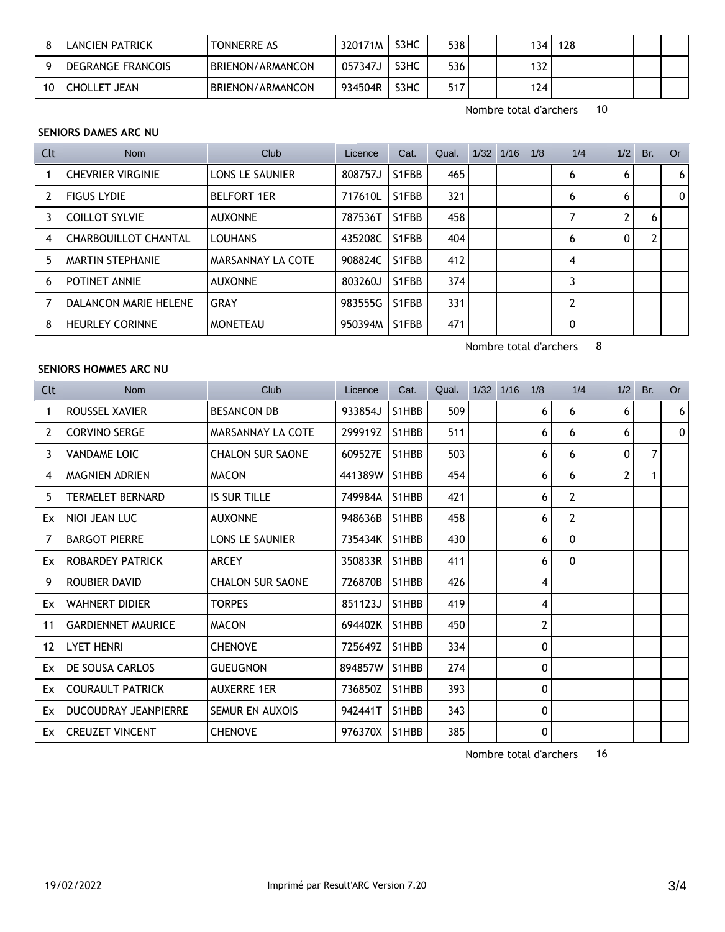|    | LANCIEN PATRICK          | TONNERRE AS      | 320171M | S3HC | 538 | '34 | 128 |  |  |
|----|--------------------------|------------------|---------|------|-----|-----|-----|--|--|
|    | <b>DEGRANGE FRANCOIS</b> | BRIENON/ARMANCON | 057347J | S3HC | 536 | 132 |     |  |  |
| 10 | CHOLLET JEAN             | BRIENON/ARMANCON | 934504R | S3HC | 517 | 124 |     |  |  |

Nombre total d'archers 10

Nombre total d'archers 8

#### **SENIORS DAMES ARC NU**

| Clt            | <b>Nom</b>                  | Club                   | Licence | Cat.  | Qual. | $1/32$ $1/16$ | 1/8 | 1/4            | 1/2 | Br. | Or             |
|----------------|-----------------------------|------------------------|---------|-------|-------|---------------|-----|----------------|-----|-----|----------------|
|                | <b>CHEVRIER VIRGINIE</b>    | <b>LONS LE SAUNIER</b> | 808757J | S1FBB | 465   |               |     | 6              | 6   |     | 6 <sup>1</sup> |
| $\overline{2}$ | <b>FIGUS LYDIE</b>          | <b>BELFORT 1ER</b>     | 717610L | S1FBB | 321   |               |     | 6              | 6   |     | $\Omega$       |
| 3              | <b>COILLOT SYLVIE</b>       | <b>AUXONNE</b>         | 787536T | S1FBB | 458   |               |     |                | C   | 6   |                |
| 4              | <b>CHARBOUILLOT CHANTAL</b> | <b>LOUHANS</b>         | 435208C | S1FBB | 404   |               |     | 6              | 0   |     |                |
| 5              | <b>MARTIN STEPHANIE</b>     | MARSANNAY LA COTE      | 908824C | S1FBB | 412   |               |     | 4              |     |     |                |
| 6              | POTINET ANNIE               | <b>AUXONNE</b>         | 803260J | S1FBB | 374   |               |     |                |     |     |                |
|                | DALANCON MARIE HELENE       | GRAY                   | 983555G | S1FBB | 331   |               |     | $\overline{2}$ |     |     |                |
| 8              | <b>HEURLEY CORINNE</b>      | <b>MONETEAU</b>        | 950394M | S1FBB | 471   |               |     | 0              |     |     |                |

#### **SENIORS HOMMES ARC NU**

Licence Cat. Qual. 1/32 1/16 1/8 1/4 1/2 Br. Or Clt Nom Club 1 ROUSSEL XAVIER BESANCON DB 933854J S1HBB 509 6 6 6 6 6 6 2 CORVINO SERGE MARSANNAY LA COTE 299919Z S1HBB 511 6 6 6 6 6 0 3 VANDAME LOIC CHALON SUR SAONE 609527E S1HBB 503 6 6 0 7 4 MAGNIEN ADRIEN MACON 441389W S1HBB 454 1 6 6 2 1 5 TERMELET BERNARD IS SUR TILLE 749984A S1HBB 421 | 6 2  $\overline{E}$  NIOI JEAN LUC AUXONNE 948636B S1HBB 458 6 2 7 BARGOT PIERRE LONS LE SAUNIER 735434K S1HBB 430 6 0 Ex ROBARDEY PATRICK ARCEY 350833R S1HBB 411 6 0 9 ROUBIER DAVID CHALON SUR SAONE 726870B S1HBB 426 426 Ex WAHNERT DIDIER TORPES 851123J S1HBB 419 449 44 11 GARDIENNET MAURICE MACON 694402K S1HBB 450 2 12 LYET HENRI CHENOVE 725649Z S1HBB 334 0 Ex DE SOUSA CARLOS GUEUGNON 894857W S1HBB 274 0 Ex COURAULT PATRICK AUXERRE 1ER 736850Z S1HBB 393 0 Ex DUCOUDRAY JEANPIERRE SEMUR EN AUXOIS 942441T S1HBB 343 | 0 Ex CREUZET VINCENT CHENOVE 976370X S1HBB 385 0

Nombre total d'archers 16